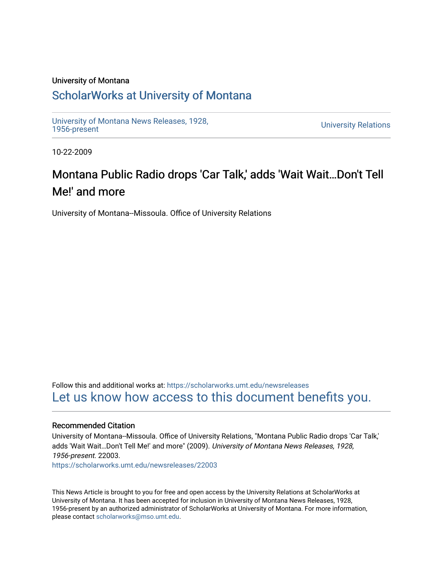#### University of Montana

## [ScholarWorks at University of Montana](https://scholarworks.umt.edu/)

[University of Montana News Releases, 1928,](https://scholarworks.umt.edu/newsreleases) 

**University Relations** 

10-22-2009

# Montana Public Radio drops 'Car Talk,' adds 'Wait Wait...Don't Tell Me!' and more

University of Montana--Missoula. Office of University Relations

Follow this and additional works at: [https://scholarworks.umt.edu/newsreleases](https://scholarworks.umt.edu/newsreleases?utm_source=scholarworks.umt.edu%2Fnewsreleases%2F22003&utm_medium=PDF&utm_campaign=PDFCoverPages) [Let us know how access to this document benefits you.](https://goo.gl/forms/s2rGfXOLzz71qgsB2) 

#### Recommended Citation

University of Montana--Missoula. Office of University Relations, "Montana Public Radio drops 'Car Talk,' adds 'Wait Wait...Don't Tell Me!' and more" (2009). University of Montana News Releases, 1928, 1956-present. 22003.

[https://scholarworks.umt.edu/newsreleases/22003](https://scholarworks.umt.edu/newsreleases/22003?utm_source=scholarworks.umt.edu%2Fnewsreleases%2F22003&utm_medium=PDF&utm_campaign=PDFCoverPages) 

This News Article is brought to you for free and open access by the University Relations at ScholarWorks at University of Montana. It has been accepted for inclusion in University of Montana News Releases, 1928, 1956-present by an authorized administrator of ScholarWorks at University of Montana. For more information, please contact [scholarworks@mso.umt.edu.](mailto:scholarworks@mso.umt.edu)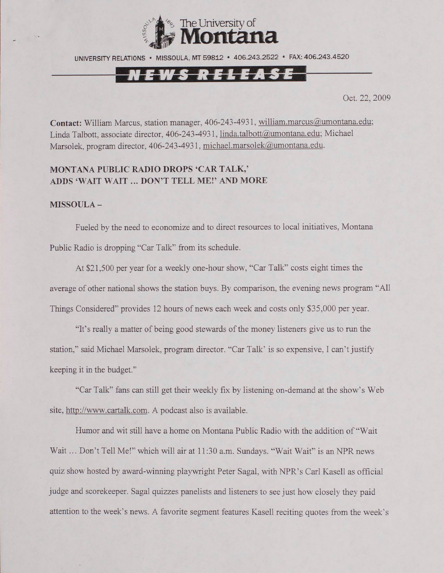

UNIVERSITY RELATIONS • MISSOULA. MT 59812 • 406.243.2522 • FAX: 406.243.4520

### **TT** / *i*

Oct. 22, 2009

**Contact:** William Marcus, station manager, 406-243-4931, [william.marcus@umontana.edu](mailto:william.marcus@umontana.edu); Linda Talbott, associate director, 406-243-4931, linda.talbott@umontana.edu; Michael Marsolek, program director, 406-243-4931, [michael.marsolek@umontana.edu](mailto:michael.marsolek@umontana.edu).

#### **MONTANA PUBLIC RADIO DROPS 'CAR TALK,' ADDS 'WAIT WAIT ... DON'T TELL ME!' AND MORE**

**MISSOULA -**

Fueled by the need to economize and to direct resources to local initiatives, Montana Public Radio is dropping "Car Talk" from its schedule.

At \$21,500 per year for a weekly one-hour show, "Car Talk" costs eight times the average of other national shows the station buys. By comparison, the evening news program "All Things Considered" provides 12 hours of news each week and costs only \$35,000 per year.

"It's really a matter of being good stewards of the money listeners give us to run the station," said Michael Marsolek, program director. "Car Talk' is so expensive, I can't justify keeping it in the budget."

"Car Talk" fans can still get their weekly fix by listening on-demand at the show's Web site, [http://www.cartalk.com.](http://www.cartalk.com) A podcast also is available.

Humor and wit still have a home on Montana Public Radio with the addition of "Wait Wait... Don't Tell Me!" which will air at 11:30 a.m. Sundays. "Wait Wait" is an NPR news quiz show hosted by award-winning playwright Peter Sagal, with NPR's Carl Kasell as official judge and scorekeeper. Sagal quizzes panelists and listeners to see just how closely they paid attention to the week's news. A favorite segment features Kasell reciting quotes from the week's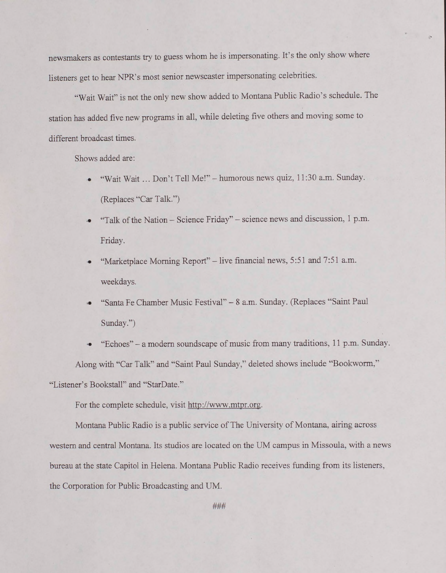newsmakers as contestants try to guess whom he is impersonating. It's the only show where listeners get to hear NPR's most senior newscaster impersonating celebrities.

"Wait Wait" is not the only new show added to Montana Public Radio's schedule. The station has added five new programs in all, while deleting five others and moving some to different broadcast times.

Shows added are:

- "Wait Wait ... Don't Tell Me!" humorous news quiz, 11:30 a.m. Sunday. (Replaces "Car Talk.")
- "Talk of the Nation Science Friday" science news and discussion, 1 p.m. Friday.
- "Marketplace Morning Report" live financial news, 5:51 and 7:51 a.m. weekdays.
- >• "Santa Fe Chamber Music Festival" 8 a.m. Sunday. (Replaces "Saint Paul Sunday.")
- •• "Echoes" a modem soundscape of music from many traditions, 11 p.m. Sunday.

Along with "Car Talk" and "Saint Paul Sunday," deleted shows include "Bookworm,"

"Listener's Bookstall" and "StarDate."

For the complete schedule, visit <http://www.mtpr.org>.

Montana Public Radio is a public service of The University of Montana, airing across western and central Montana. Its studios are located on the UM campus in Missoula, with a news bureau at the state Capitol in Helena. Montana Public Radio receives funding from its listeners, the Corporation for Public Broadcasting and UM.